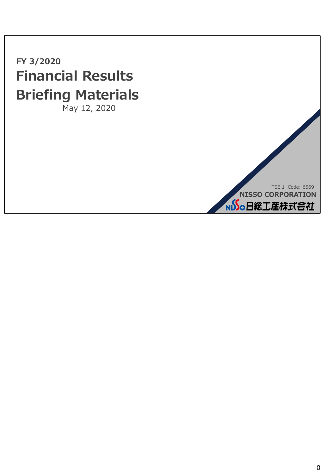**FY 3/2020 Financial Results Briefing Materials** May 12, 2020

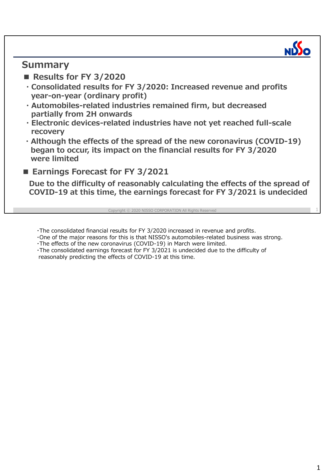## **Summary**

- **Results for FY 3/2020**
- **・Consolidated results for FY 3/2020: Increased revenue and profits year-on-year (ordinary profit)**
- **・Automobiles-related industries remained firm, but decreased partially from 2H onwards**
- **・Electronic devices-related industries have not yet reached full-scale recovery**
- **・Although the effects of the spread of the new coronavirus (COVID-19) began to occur, its impact on the financial results for FY 3/2020 were limited**
- **Earnings Forecast for FY 3/2021**

**Due to the difficulty of reasonably calculating the effects of the spread of COVID-19 at this time, the earnings forecast for FY 3/2021 is undecided**

ht © 2020 NISSO CORPORATION All Rights

・The consolidated financial results for FY 3/2020 increased in revenue and profits.

・One of the major reasons for this is that NISSO's automobiles-related business was strong.

・The effects of the new coronavirus (COVID-19) in March were limited.

・The consolidated earnings forecast for FY 3/2021 is undecided due to the difficulty of reasonably predicting the effects of COVID-19 at this time.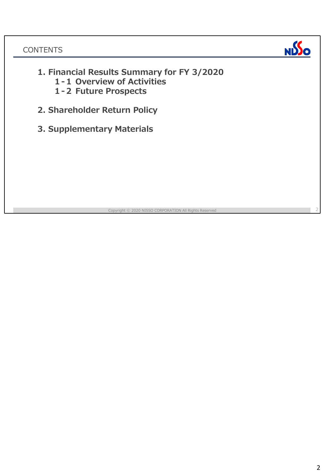

- **1. Financial Results Summary for FY 3/2020** 
	- **1-1 Overview of Activities**
	- **1-2 Future Prospects**
- **2. Shareholder Return Policy**
- **3. Supplementary Materials**

right © 2020 NISSO CORPORATION All Rights Reserve

2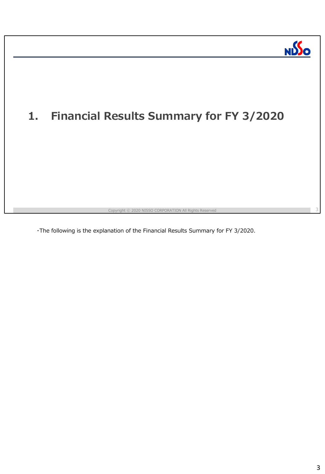

3

# **1. Financial Results Summary for FY 3/2020**

yright © 2020 NISSO CORPORATION All Rights Reserve

・The following is the explanation of the Financial Results Summary for FY 3/2020.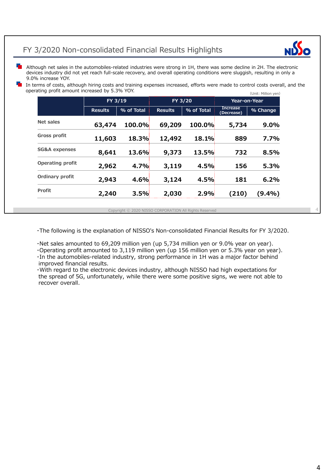## FY 3/2020 Non-consolidated Financial Results Highlights



4

Although net sales in the automobiles-related industries were strong in 1H, there was some decline in 2H. The electronic devices industry did not yet reach full-scale recovery, and overall operating conditions were sluggish, resulting in only a 9.0% increase YOY.

 $(\text{Unit: Million von})$ In terms of costs, although hiring costs and training expenses increased, efforts were made to control costs overall, and the operating profit amount increased by 5.3% YOY.

|                          | YOUR FIRMOUT YOU |            |                |            |                               |           |
|--------------------------|------------------|------------|----------------|------------|-------------------------------|-----------|
|                          | FY 3/19          |            | FY 3/20        |            | Year-on-Year                  |           |
|                          | <b>Results</b>   | % of Total | <b>Results</b> | % of Total | <b>Increase</b><br>(Decrease) | % Change  |
| Net sales                | 63,474           | 100.0%     | 69,209         | 100.0%     | 5,734                         | $9.0\%$   |
| <b>Gross profit</b>      | 11,603           | 18.3%      | 12,492         | 18.1%      | 889                           | 7.7%      |
| <b>SG&amp;A expenses</b> | 8,641            | 13.6%      | 9,373          | 13.5%      | 732                           | 8.5%      |
| Operating profit         | 2,962            | 4.7%       | 3,119          | 4.5%       | 156                           | 5.3%      |
| <b>Ordinary profit</b>   | 2,943            | 4.6%       | 3,124          | 4.5%       | 181                           | 6.2%      |
| <b>Profit</b>            | 2,240            | 3.5%       | 2,030          | 2.9%       | (210)                         | $(9.4\%)$ |

Copyright ⓒ 2020 NISSO CORPORATION All Rights Reserved

・The following is the explanation of NISSO's Non-consolidated Financial Results for FY 3/2020.

・Net sales amounted to 69,209 million yen (up 5,734 million yen or 9.0% year on year).

・Operating profit amounted to 3,119 million yen (up 156 million yen or 5.3% year on year). ・In the automobiles-related industry, strong performance in 1H was a major factor behind improved financial results.

・With regard to the electronic devices industry, although NISSO had high expectations for the spread of 5G, unfortunately, while there were some positive signs, we were not able to recover overall.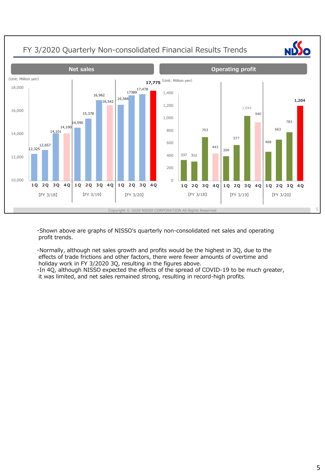

・Shown above are graphs of NISSO's quarterly non-consolidated net sales and operating profit trends.

・Normally, although net sales growth and profits would be the highest in 3Q, due to the effects of trade frictions and other factors, there were fewer amounts of overtime and holiday work in FY 3/2020 3Q, resulting in the figures above.

・In 4Q, although NISSO expected the effects of the spread of COVID-19 to be much greater, it was limited, and net sales remained strong, resulting in record-high profits.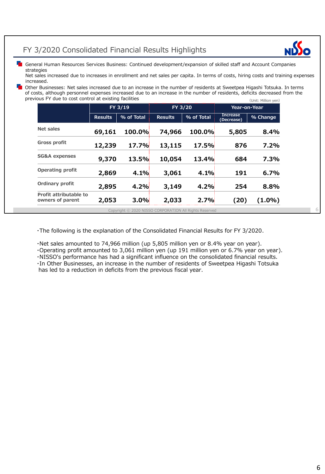## FY 3/2020 Consolidated Financial Results Highlights



6

**Fo** General Human Resources Services Business: Continued development/expansion of skilled staff and Account Companies strategies

Net sales increased due to increases in enrollment and net sales per capita. In terms of costs, hiring costs and training expenses increased.

(Unit: Million yen) Other Businesses: Net sales increased due to an increase in the number of residents at Sweetpea Higashi Totsuka. In terms of costs, although personnel expenses increased due to an increase in the number of residents, deficits decreased from the previous FY due to cost control at existing facilities

|                                            | FY 3/19        |            | FY 3/20        |            | <b>Year-on-Year</b>           |           |
|--------------------------------------------|----------------|------------|----------------|------------|-------------------------------|-----------|
|                                            | <b>Results</b> | % of Total | <b>Results</b> | % of Total | <b>Increase</b><br>(Decrease) | % Change  |
| Net sales                                  | 69,161         | 100.0%     | 74,966         | 100.0%     | 5,805                         | 8.4%      |
| Gross profit                               | 12,239         | 17.7%      | 13,115         | 17.5%      | 876                           | 7.2%      |
| <b>SG&amp;A expenses</b>                   | 9,370          | 13.5%      | 10,054         | 13.4%      | 684                           | 7.3%      |
| <b>Operating profit</b>                    | 2,869          | 4.1%       | 3,061          | 4.1%       | 191                           | 6.7%      |
| <b>Ordinary profit</b>                     | 2,895          | 4.2%       | 3,149          | 4.2%       | 254                           | 8.8%      |
| Profit attributable to<br>owners of parent | 2,053          | 3.0%       | 2,033          | 2.7%       | (20)                          | $(1.0\%)$ |

Copyright ⓒ 2020 NISSO CORPORATION All Rights Reserved

・The following is the explanation of the Consolidated Financial Results for FY 3/2020.

・Net sales amounted to 74,966 million (up 5,805 million yen or 8.4% year on year).

・Operating profit amounted to 3,061 million yen (up 191 million yen or 6.7% year on year).

・NISSO's performance has had a significant influence on the consolidated financial results. ・In Other Businesses, an increase in the number of residents of Sweetpea Higashi Totsuka has led to a reduction in deficits from the previous fiscal year.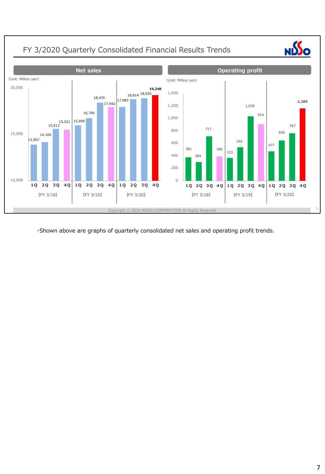

・Shown above are graphs of quarterly consolidated net sales and operating profit trends.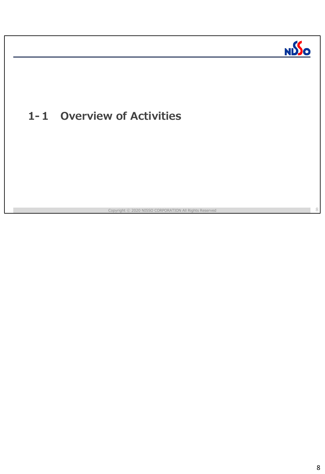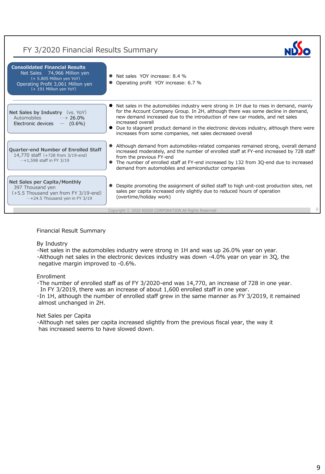## FY 3/2020 Financial Results Summary



### Financial Result Summary

#### By Industry

・Net sales in the automobiles industry were strong in 1H and was up 26.0% year on year. ・Although net sales in the electronic devices industry was down -4.0% year on year in 3Q, the negative margin improved to -0.6%.

#### Enrollment

・The number of enrolled staff as of FY 3/2020-end was 14,770, an increase of 728 in one year.

In FY 3/2019, there was an increase of about 1,600 enrolled staff in one year.

・In 1H, although the number of enrolled staff grew in the same manner as FY 3/2019, it remained almost unchanged in 2H.

#### Net Sales per Capita

・Although net sales per capita increased slightly from the previous fiscal year, the way it has increased seems to have slowed down.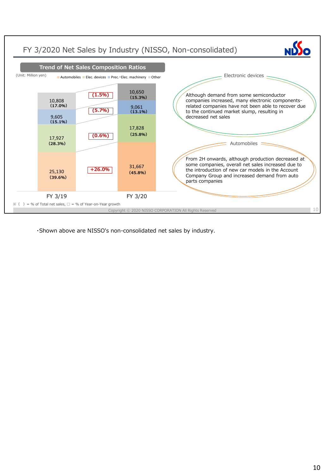

・Shown above are NISSO's non-consolidated net sales by industry.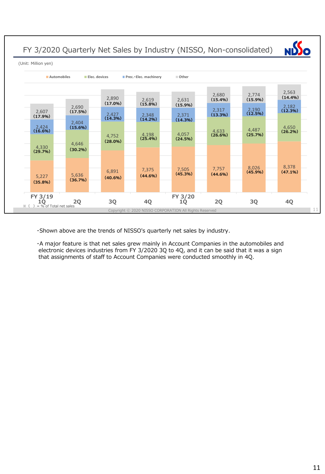FY 3/2020 Quarterly Net Sales by Industry (NISSO, Non-consolidated)



(Unit: Million yen)



・Shown above are the trends of NISSO's quarterly net sales by industry.

・A major feature is that net sales grew mainly in Account Companies in the automobiles and electronic devices industries from FY 3/2020 3Q to 4Q, and it can be said that it was a sign that assignments of staff to Account Companies were conducted smoothly in 4Q.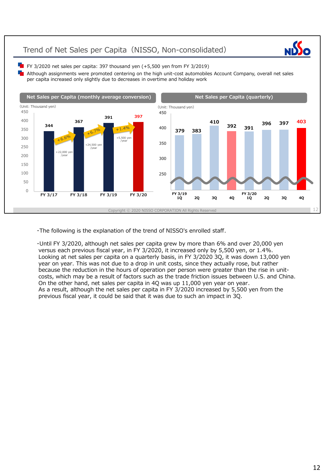## Trend of Net Sales per Capita (NISSO, Non-consolidated)



 $\blacksquare$  FY 3/2020 net sales per capita: 397 thousand yen (+5,500 yen from FY 3/2019)

Although assignments were promoted centering on the high unit-cost automobiles Account Company, overall net sales per capita increased only slightly due to decreases in overtime and holiday work



・The following is the explanation of the trend of NISSO's enrolled staff.

・Until FY 3/2020, although net sales per capita grew by more than 6% and over 20,000 yen versus each previous fiscal year, in FY 3/2020, it increased only by 5,500 yen, or 1.4%. Looking at net sales per capita on a quarterly basis, in FY 3/2020 3Q, it was down 13,000 yen year on year. This was not due to a drop in unit costs, since they actually rose, but rather because the reduction in the hours of operation per person were greater than the rise in unitcosts, which may be a result of factors such as the trade friction issues between U.S. and China. On the other hand, net sales per capita in 4Q was up 11,000 yen year on year. As a result, although the net sales per capita in FY 3/2020 increased by 5,500 yen from the previous fiscal year, it could be said that it was due to such an impact in 3Q.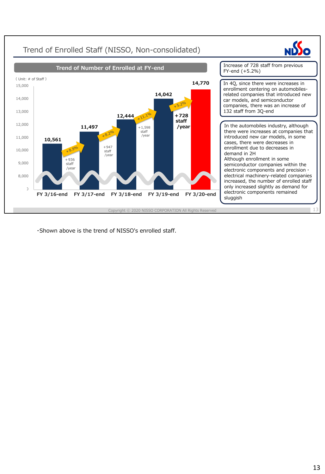

・Shown above is the trend of NISSO's enrolled staff.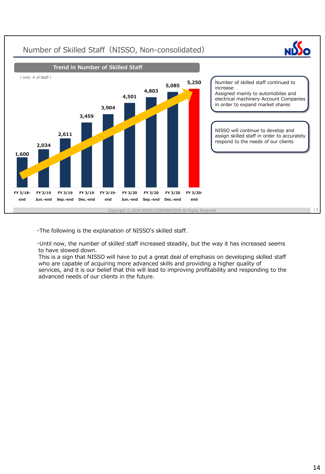

・The following is the explanation of NISSO's skilled staff.

・Until now, the number of skilled staff increased steadily, but the way it has increased seems to have slowed down.

This is a sign that NISSO will have to put a great deal of emphasis on developing skilled staff who are capable of acquiring more advanced skills and providing a higher quality of services, and it is our belief that this will lead to improving profitability and responding to the advanced needs of our clients in the future.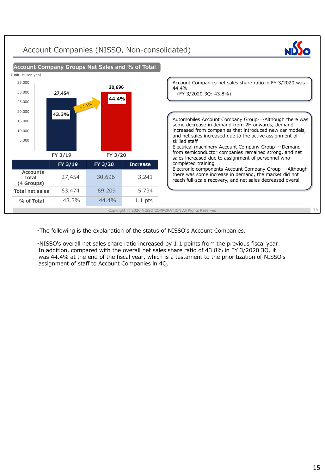## Account Companies (NISSO, Non-consolidated)





・The following is the explanation of the status of NISSO's Account Companies.

・NISSO's overall net sales share ratio increased by 1.1 points from the previous fiscal year. In addition, compared with the overall net sales share ratio of 43.8% in FY 3/2020 3Q, it was 44.4% at the end of the fiscal year, which is a testament to the prioritization of NISSO's assignment of staff to Account Companies in 4Q.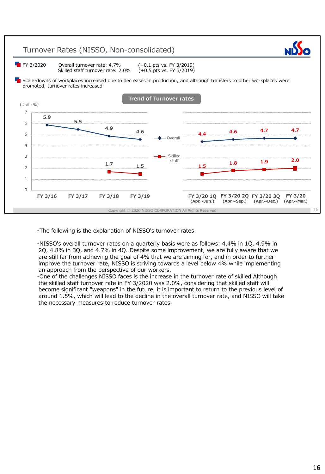

・The following is the explanation of NISSO's turnover rates.

・NISSO's overall turnover rates on a quarterly basis were as follows: 4.4% in 1Q, 4.9% in 2Q, 4.8% in 3Q, and 4.7% in 4Q. Despite some improvement, we are fully aware that we are still far from achieving the goal of 4% that we are aiming for, and in order to further improve the turnover rate, NISSO is striving towards a level below 4% while implementing an approach from the perspective of our workers.

・One of the challenges NISSO faces is the increase in the turnover rate of skilled Although the skilled staff turnover rate in FY 3/2020 was 2.0%, considering that skilled staff will become significant "weapons" in the future, it is important to return to the previous level of around 1.5%, which will lead to the decline in the overall turnover rate, and NISSO will take the necessary measures to reduce turnover rates.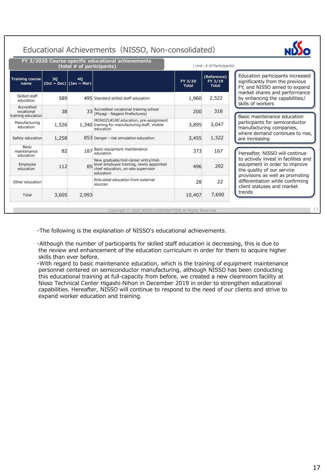## Educational Achievements (NISSO, Non-consolidated)



17

|                                                |                            | (total # of participants)     | FY 3/2020 Course-specific educational achievements                                                                                    |                         | (Unit: # of Participants)              |                                                                                                                                        |
|------------------------------------------------|----------------------------|-------------------------------|---------------------------------------------------------------------------------------------------------------------------------------|-------------------------|----------------------------------------|----------------------------------------------------------------------------------------------------------------------------------------|
| Training course<br>name                        | 30<br>(Oct $\sim$ Dec) $ $ | <b>40</b><br>(Jan $\sim$ Mar) |                                                                                                                                       | FY 3/20<br><b>Total</b> | (Reference)<br>FY 3/19<br><b>Total</b> | Education participants increased<br>significantly from the previous<br>FY, and NISSO aimed to expand                                   |
| Skilled staff<br>education                     | 589                        |                               | 495 Standard skilled staff education                                                                                                  | 1,960                   | 2,522                                  | market shares and performance<br>by enhancing the capabilities/<br>skills of workers                                                   |
| Accredited<br>vocational<br>training education | 38                         |                               | 33 Accredited vocational training school<br>(Miyagi · Nagano Prefectures)                                                             | 200                     | 318                                    | Basic maintenance education                                                                                                            |
| Manufacturing<br>education                     | 1,526                      |                               | MONOZUKURI education, pre-assignment<br>1,340 training for manufacturing staff, mobile<br>education                                   | 3,895                   | 3,047                                  | participants for semiconductor<br>manufacturing companies,                                                                             |
| Safety education                               | 1,258                      |                               | 853 Danger · risk simulation education                                                                                                | 3,455                   | 1,322                                  | where demand continues to rise,<br>are increasing                                                                                      |
| <b>Basic</b><br>maintenance<br>education       | 82                         | 187                           | Basic equipment maintenance<br>education                                                                                              | 373                     | 167                                    | Hereafter, NISSO will continue                                                                                                         |
| Employee<br>education                          | 112                        |                               | New graduate/mid-career entry/mid-<br>85 level employee training, newly appointed<br>chief education, on-site supervisor<br>education | 496                     | 292                                    | to actively invest in facilities and<br>equipment in order to improve<br>the quality of our service<br>provisions as well as promoting |
| Other education                                |                            |                               | Entrusted education from external<br>sources                                                                                          | 28                      | 22                                     | differentiation while confirming<br>client statuses and market                                                                         |
| Total                                          | 3,605                      | 2,993                         |                                                                                                                                       | 10,407                  | 7,690                                  | trends                                                                                                                                 |

Copyright © 2020 NISSO CORPORATION All Rights Reserved

・The following is the explanation of NISSO's educational achievements.

・Although the number of participants for skilled staff education is decreasing, this is due to the review and enhancement of the education curriculum in order for them to acquire higher skills than ever before.

・With regard to basic maintenance education, which is the training of equipment maintenance personnel centered on semiconductor manufacturing, although NISSO has been conducting this educational training at full-capacity from before, we created a new cleanroom facility at Nisso Technical Center Higashi-Nihon in December 2019 in order to strengthen educational capabilities. Hereafter, NISSO will continue to respond to the need of our clients and strive to expand worker education and training.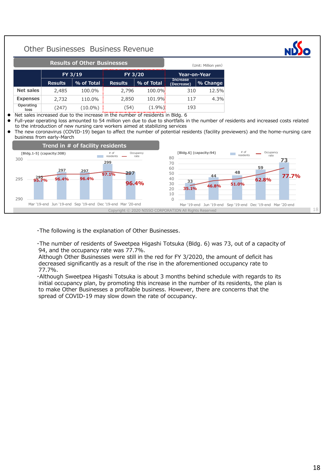#### Copyright ⓒ 2020 NISSO CORPORATION All Rights Reserved Other Businesses Business Revenue 18 **295 95.7% 96.4% 96.4% 297 297 299 297 97.1% 96.4%** 290 295 300 Mar '19-end Jun '19-end Sep '19-end Dec '19-end Mar '20-end [Bldg.1-5] (capacity:308)  $# of$ <br>residents Occupancy rate **33 44 48 59 73 35.1% 46.8% 51.0% 62.8% 77.7%** 50%  $\Omega$ 10  $20$ 30 40 50 60 70 80 Mar '19-end Jun '19-end Sep '19-end Dec '19-end Mar '20-end **[Bldg.6] (capacity:94)**  $*$  of residents Occupancy rate **Results of Other Businesses Trend in # of facility residents** (Unit: Million yen) **FY 3/19 FY 3/20 Year-on-Year Results % of Total Results % of Total Increase (Decrease) % Change Net sales** 2,485 100.0% 2,796 100.0% 310 12.5% **Expenses** 2,732 110.0% 2,850 101.9% 117 4.3% **Operating**  loss (247) (10.0%) (54) (1.9%) 193 ● Net sales increased due to the increase in the number of residents in Bldg. 6 Full-year operating loss amounted to 54 million yen due to due to shortfalls in the number of residents and increased costs related to the introduction of new nursing care workers aimed at stabilizing services ⚫ The new coronavirus (COVID-19) began to affect the number of potential residents (facility previewers) and the home-nursing care business from early-March

・The following is the explanation of Other Businesses.

・The number of residents of Sweetpea Higashi Totsuka (Bldg. 6) was 73, out of a capacity of 94, and the occupancy rate was 77.7%.

Although Other Businesses were still in the red for FY 3/2020, the amount of deficit has decreased significantly as a result of the rise in the aforementioned occupancy rate to 77.7%.

・Although Sweetpea Higashi Totsuka is about 3 months behind schedule with regards to its initial occupancy plan, by promoting this increase in the number of its residents, the plan is to make Other Businesses a profitable business. However, there are concerns that the spread of COVID-19 may slow down the rate of occupancy.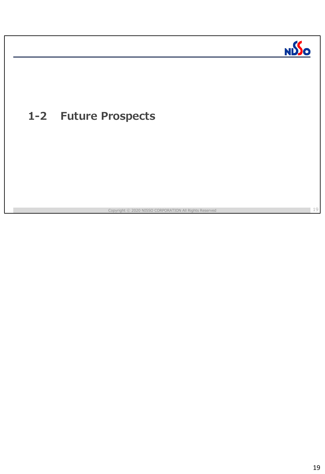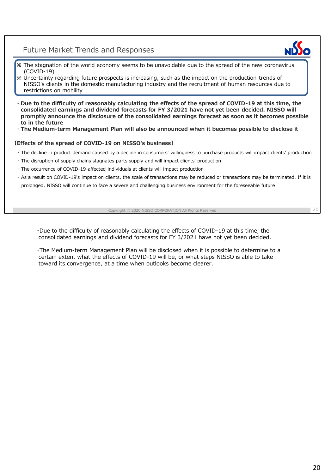## Future Market Trends and Responses



- **※** The stagnation of the world economy seems to be unavoidable due to the spread of the new coronavirus (COVID-19)
- ※ Uncertainty regarding future prospects is increasing, such as the impact on the production trends of NISSO's clients in the domestic manufacturing industry and the recruitment of human resources due to restrictions on mobility
- **・Due to the difficulty of reasonably calculating the effects of the spread of COVID-19 at this time, the consolidated earnings and dividend forecasts for FY 3/2021 have not yet been decided. NISSO will promptly announce the disclosure of the consolidated earnings forecast as soon as it becomes possible to in the future**
- **・The Medium-term Management Plan will also be announced when it becomes possible to disclose it**

## **【Effects of the spread of COVID-19 on NISSO's business】**

- ・The decline in product demand caused by a decline in consumers' willingness to purchase products will impact clients' production
- ・The disruption of supply chains stagnates parts supply and will impact clients' production
- ・The occurrence of COVID-19-affected individuals at clients will impact production
- ・As a result on COVID-19's impact on clients, the scale of transactions may be reduced or transactions may be terminated. If it is prolonged, NISSO will continue to face a severe and challenging business environment for the foreseeable future

#### Copyright ⓒ 2020 NISSO CORPORATION All Rights Reserved

20

・Due to the difficulty of reasonably calculating the effects of COVID-19 at this time, the consolidated earnings and dividend forecasts for FY 3/2021 have not yet been decided.

・The Medium-term Management Plan will be disclosed when it is possible to determine to a certain extent what the effects of COVID-19 will be, or what steps NISSO is able to take toward its convergence, at a time when outlooks become clearer.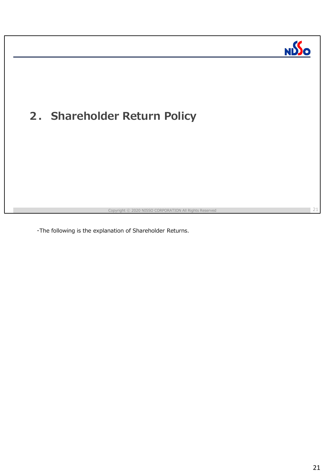

・The following is the explanation of Shareholder Returns.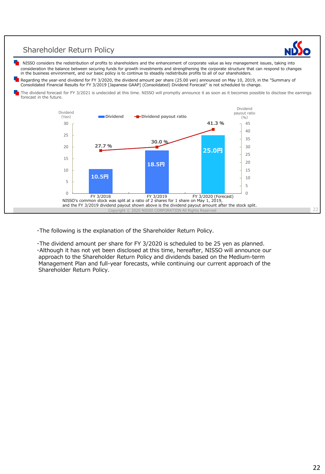## Shareholder Return Policy

NISSO considers the redistribution of profits to shareholders and the enhancement of corporate value as key management issues, taking into consideration the balance between securing funds for growth investments and strengthening the corporate structure that can respond to changes in the business environment, and our basic policy is to continue to steadily redistribute profits to all of our shareholders.

Regarding the year-end dividend for FY 3/2020, the dividend amount per share (25.00 yen) announced on May 10, 2019, in the "Summary of Consolidated Financial Results for FY 3/2019 [Japanese GAAP] (Consolidated) Dividend Forecast" is not scheduled to change.

The dividend forecast for FY 3/2021 is undecided at this time. NISSO will promptly announce it as soon as it becomes possible to disclose the earnings forecast in the future.



・The following is the explanation of the Shareholder Return Policy.

・The dividend amount per share for FY 3/2020 is scheduled to be 25 yen as planned. ・Although it has not yet been disclosed at this time, hereafter, NISSO will announce our approach to the Shareholder Return Policy and dividends based on the Medium-term Management Plan and full-year forecasts, while continuing our current approach of the Shareholder Return Policy.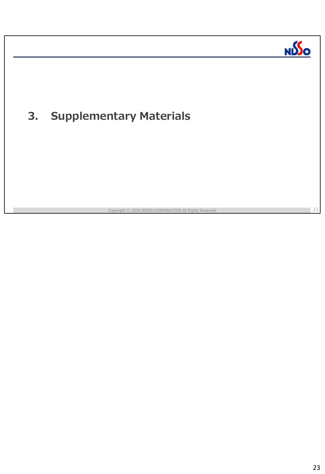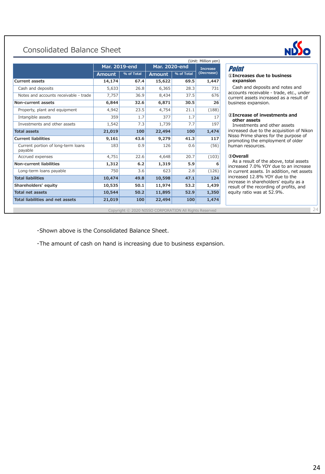## Consolidated Balance Sheet





24

### Point

#### **①Increases due to business expansion**

Cash and deposits and notes and accounts receivable - trade, etc., under current assets increased as a result of business expansion.

#### **②Increase of investments and other assets**

Investments and other assets increased due to the acquisition of Nikon Nisso Prime shares for the purpose of promoting the employment of older human resources.

#### **③Overall**

As a result of the above, total assets increased 7.0% YOY due to an increase in current assets. In addition, net assets increased 12.8% YOY due to the increase in shareholders' equity as a result of the recording of profits, and equity ratio was at 52.9%.

・Shown above is the Consolidated Balance Sheet.

・The amount of cash on hand is increasing due to business expansion.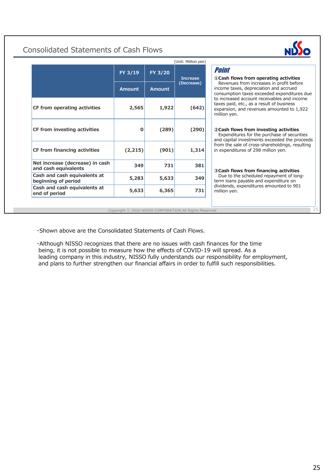## Consolidated Statements of Cash Flows

|                                                         | (Unit: Million yen) |               |                 |  |  |  |
|---------------------------------------------------------|---------------------|---------------|-----------------|--|--|--|
|                                                         | FY 3/19             | FY 3/20       | <b>Increase</b> |  |  |  |
|                                                         | <b>Amount</b>       | <b>Amount</b> | (Decrease)      |  |  |  |
| CF from operating activities                            | 2,565               | 1,922         | (642)           |  |  |  |
| CF from investing activities                            | 0                   | (289)         | (290)           |  |  |  |
| CF from financing activities                            | (2,215)             | (901)         | 1,314           |  |  |  |
| Net increase (decrease) in cash<br>and cash equivalents | 349                 | 731           | 381             |  |  |  |
| Cash and cash equivalents at<br>beginning of period     | 5,283               | 5,633         | 349             |  |  |  |
| Cash and cash equivalents at<br>end of period           | 5,633               | 6,365         | 731             |  |  |  |



25

### **①Cash flows from operating activities** Revenues from increases in profit before income taxes, depreciation and accrued consumption taxes exceeded expenditures due to increased account receivables and income taxes paid, etc., as a result of business expansion, and revenues amounted to 1,922 million yen. **②Cash flows from investing activities** Expenditures for the purchase of securities and capital investments exceeded the proceeds from the sale of cross-shareholdings, resulting in expenditures of 298 million yen. **③Cash flows from financing activities** Due to the scheduled repayment of longterm loans payable and expenditure on dividends, expenditures amounted to 901 million yen.

Point

Copyright ⓒ 2020 NISSO CORPORATION All Rights Reserved

・Shown above are the Consolidated Statements of Cash Flows.

・Although NISSO recognizes that there are no issues with cash finances for the time being, it is not possible to measure how the effects of COVID-19 will spread. As a leading company in this industry, NISSO fully understands our responsibility for employment, and plans to further strengthen our financial affairs in order to fulfill such responsibilities.